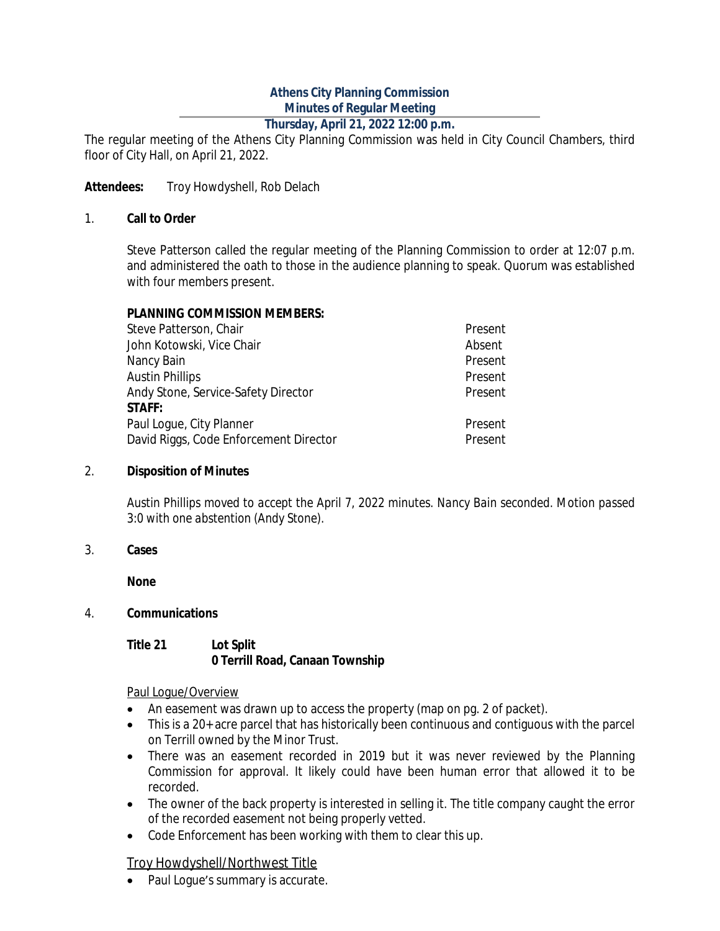# **Athens City Planning Commission Minutes of Regular Meeting**

# **Thursday, April 21, 2022 12:00 p.m.**

The regular meeting of the Athens City Planning Commission was held in City Council Chambers, third floor of City Hall, on April 21, 2022.

### Attendees: Troy Howdyshell, Rob Delach

#### 1. **Call to Order**

Steve Patterson called the regular meeting of the Planning Commission to order at 12:07 p.m. and administered the oath to those in the audience planning to speak. Quorum was established with four members present.

### **PLANNING COMMISSION MEMBERS:**

| Steve Patterson, Chair                 | Present |
|----------------------------------------|---------|
| John Kotowski, Vice Chair              | Absent  |
| Nancy Bain                             | Present |
| <b>Austin Phillips</b>                 | Present |
| Andy Stone, Service-Safety Director    | Present |
| <b>STAFF:</b>                          |         |
| Paul Loque, City Planner               | Present |
| David Riggs, Code Enforcement Director | Present |

#### 2. **Disposition of Minutes**

*Austin Phillips moved to accept the April 7, 2022 minutes. Nancy Bain seconded. Motion passed 3:0 with one abstention (Andy Stone).*

#### 3. **Cases**

**None**

### 4. **Communications**

#### **Title 21 Lot Split 0 Terrill Road, Canaan Township**

#### Paul Logue/Overview

- An easement was drawn up to access the property (map on pg. 2 of packet).
- This is a 20+ acre parcel that has historically been continuous and contiguous with the parcel on Terrill owned by the Minor Trust.
- There was an easement recorded in 2019 but it was never reviewed by the Planning Commission for approval. It likely could have been human error that allowed it to be recorded.
- The owner of the back property is interested in selling it. The title company caught the error of the recorded easement not being properly vetted.
- Code Enforcement has been working with them to clear this up.

### Troy Howdyshell/Northwest Title

• Paul Loque's summary is accurate.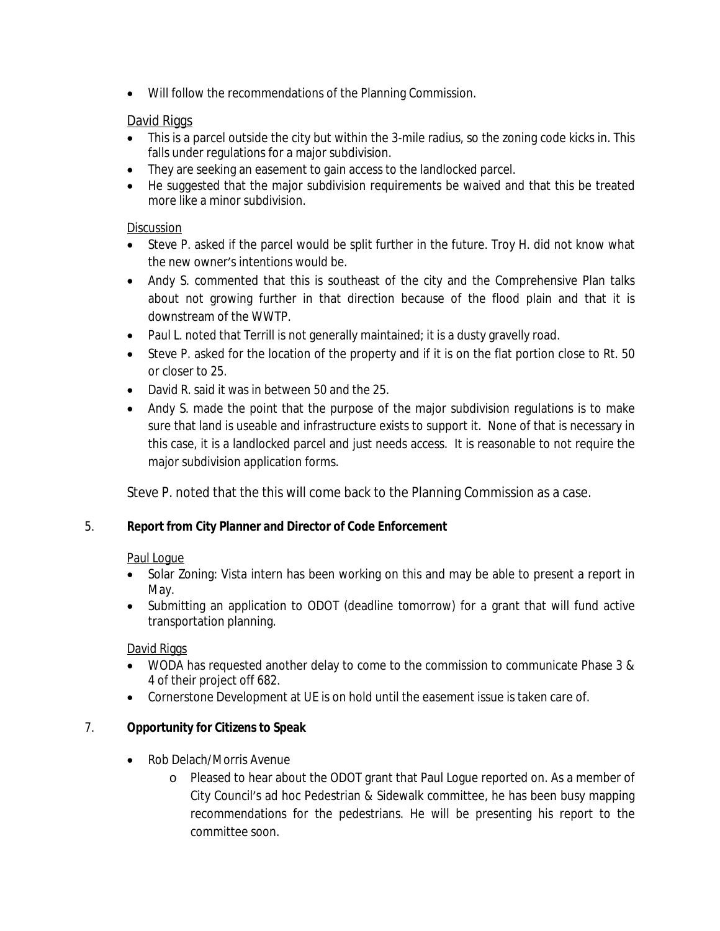Will follow the recommendations of the Planning Commission.

# David Riggs

- This is a parcel outside the city but within the 3-mile radius, so the zoning code kicks in. This falls under regulations for a major subdivision.
- They are seeking an easement to gain access to the landlocked parcel.
- He suggested that the major subdivision reguirements be waived and that this be treated more like a minor subdivision.

## **Discussion**

- Steve P. asked if the parcel would be split further in the future. Troy H. did not know what the new owner's intentions would be.
- Andy S. commented that this is southeast of the city and the Comprehensive Plan talks about not growing further in that direction because of the flood plain and that it is downstream of the WWTP.
- Paul L. noted that Terrill is not generally maintained; it is a dusty gravelly road.
- Steve P. asked for the location of the property and if it is on the flat portion close to Rt. 50 or closer to 25.
- David R. said it was in between 50 and the 25.
- Andy S. made the point that the purpose of the major subdivision regulations is to make sure that land is useable and infrastructure exists to support it. None of that is necessary in this case, it is a landlocked parcel and just needs access. It is reasonable to not require the major subdivision application forms.

Steve P. noted that the this will come back to the Planning Commission as a case.

# 5. **Report from City Planner and Director of Code Enforcement**

# Paul Logue

- Solar Zoning: Vista intern has been working on this and may be able to present a report in May.
- Submitting an application to ODOT (deadline tomorrow) for a grant that will fund active transportation planning.

# David Riggs

- WODA has requested another delay to come to the commission to communicate Phase 3 & 4 of their project off 682.
- Cornerstone Development at UE is on hold until the easement issue is taken care of.

# 7. **Opportunity for Citizens to Speak**

- Rob Delach/Morris Avenue
	- o Pleased to hear about the ODOT grant that Paul Logue reported on. As a member of City Council's ad hoc Pedestrian & Sidewalk committee, he has been busy mapping recommendations for the pedestrians. He will be presenting his report to the committee soon.